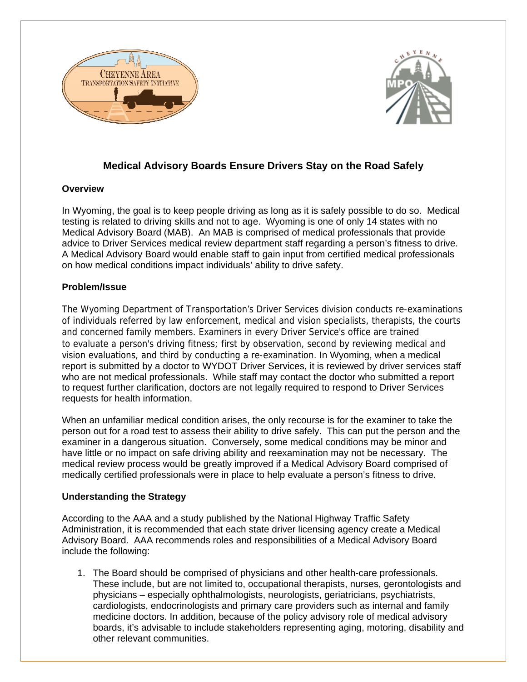



# **Medical Advisory Boards Ensure Drivers Stay on the Road Safely**

## **Overview**

In Wyoming, the goal is to keep people driving as long as it is safely possible to do so. Medical testing is related to driving skills and not to age. Wyoming is one of only 14 states with no Medical Advisory Board (MAB). An MAB is comprised of medical professionals that provide advice to Driver Services medical review department staff regarding a person's fitness to drive. A Medical Advisory Board would enable staff to gain input from certified medical professionals on how medical conditions impact individuals' ability to drive safety.

## **Problem/Issue**

The Wyoming Department of Transportation's Driver Services division conducts re-examinations of individuals referred by law enforcement, medical and vision specialists, therapists, the courts and concerned family members. Examiners in every Driver Service's office are trained to evaluate a person's driving fitness; first by observation, second by reviewing medical and vision evaluations, and third by conducting a re-examination. In Wyoming, when a medical report is submitted by a doctor to WYDOT Driver Services, it is reviewed by driver services staff who are not medical professionals. While staff may contact the doctor who submitted a report to request further clarification, doctors are not legally required to respond to Driver Services requests for health information.

When an unfamiliar medical condition arises, the only recourse is for the examiner to take the person out for a road test to assess their ability to drive safely. This can put the person and the examiner in a dangerous situation. Conversely, some medical conditions may be minor and have little or no impact on safe driving ability and reexamination may not be necessary. The medical review process would be greatly improved if a Medical Advisory Board comprised of medically certified professionals were in place to help evaluate a person's fitness to drive.

## **Understanding the Strategy**

According to the AAA and a study published by the National Highway Traffic Safety Administration, it is recommended that each state driver licensing agency create a Medical Advisory Board. AAA recommends roles and responsibilities of a Medical Advisory Board include the following:

1. The Board should be comprised of physicians and other health-care professionals. These include, but are not limited to, occupational therapists, nurses, gerontologists and physicians – especially ophthalmologists, neurologists, geriatricians, psychiatrists, cardiologists, endocrinologists and primary care providers such as internal and family medicine doctors. In addition, because of the policy advisory role of medical advisory boards, it's advisable to include stakeholders representing aging, motoring, disability and other relevant communities.